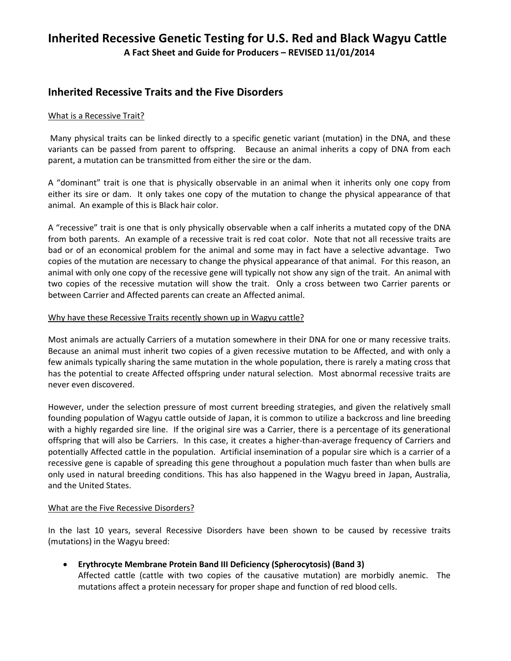# **Inherited Recessive Genetic Testing for U.S. Red and Black Wagyu Cattle**

**A Fact Sheet and Guide for Producers – REVISED 11/01/2014**

### **Inherited Recessive Traits and the Five Disorders**

### What is a Recessive Trait?

Many physical traits can be linked directly to a specific genetic variant (mutation) in the DNA, and these variants can be passed from parent to offspring. Because an animal inherits a copy of DNA from each parent, a mutation can be transmitted from either the sire or the dam.

A "dominant" trait is one that is physically observable in an animal when it inherits only one copy from either its sire or dam. It only takes one copy of the mutation to change the physical appearance of that animal. An example of this is Black hair color.

A "recessive" trait is one that is only physically observable when a calf inherits a mutated copy of the DNA from both parents. An example of a recessive trait is red coat color. Note that not all recessive traits are bad or of an economical problem for the animal and some may in fact have a selective advantage. Two copies of the mutation are necessary to change the physical appearance of that animal. For this reason, an animal with only one copy of the recessive gene will typically not show any sign of the trait. An animal with two copies of the recessive mutation will show the trait. Only a cross between two Carrier parents or between Carrier and Affected parents can create an Affected animal.

### Why have these Recessive Traits recently shown up in Wagyu cattle?

Most animals are actually Carriers of a mutation somewhere in their DNA for one or many recessive traits. Because an animal must inherit two copies of a given recessive mutation to be Affected, and with only a few animals typically sharing the same mutation in the whole population, there is rarely a mating cross that has the potential to create Affected offspring under natural selection. Most abnormal recessive traits are never even discovered.

However, under the selection pressure of most current breeding strategies, and given the relatively small founding population of Wagyu cattle outside of Japan, it is common to utilize a backcross and line breeding with a highly regarded sire line. If the original sire was a Carrier, there is a percentage of its generational offspring that will also be Carriers. In this case, it creates a higher-than-average frequency of Carriers and potentially Affected cattle in the population. Artificial insemination of a popular sire which is a carrier of a recessive gene is capable of spreading this gene throughout a population much faster than when bulls are only used in natural breeding conditions. This has also happened in the Wagyu breed in Japan, Australia, and the United States.

### What are the Five Recessive Disorders?

In the last 10 years, several Recessive Disorders have been shown to be caused by recessive traits (mutations) in the Wagyu breed:

• **Erythrocyte Membrane Protein Band III Deficiency (Spherocytosis) (Band 3)** Affected cattle (cattle with two copies of the causative mutation) are morbidly anemic. The mutations affect a protein necessary for proper shape and function of red blood cells.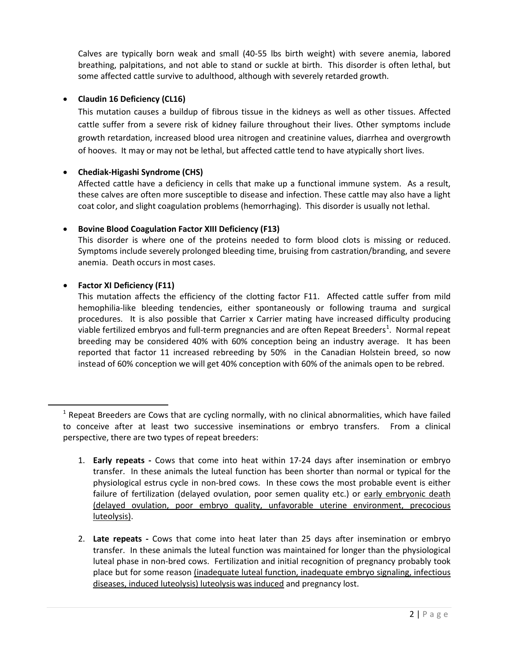Calves are typically born weak and small (40-55 lbs birth weight) with severe anemia, labored breathing, palpitations, and not able to stand or suckle at birth. This disorder is often lethal, but some affected cattle survive to adulthood, although with severely retarded growth.

### • **Claudin 16 Deficiency (CL16)**

This mutation causes a buildup of fibrous tissue in the kidneys as well as other tissues. Affected cattle suffer from a severe risk of kidney failure throughout their lives. Other symptoms include growth retardation, increased blood urea nitrogen and creatinine values, diarrhea and overgrowth of hooves. It may or may not be lethal, but affected cattle tend to have atypically short lives.

### • **Chediak-Higashi Syndrome (CHS)**

Affected cattle have a deficiency in cells that make up a functional immune system. As a result, these calves are often more susceptible to disease and infection. These cattle may also have a light coat color, and slight coagulation problems (hemorrhaging). This disorder is usually not lethal.

### • **Bovine Blood Coagulation Factor XIII Deficiency (F13)**

This disorder is where one of the proteins needed to form blood clots is missing or reduced. Symptoms include severely prolonged bleeding time, bruising from castration/branding, and severe anemia. Death occurs in most cases.

### • **Factor XI Deficiency (F11)**

This mutation affects the efficiency of the clotting factor F11. Affected cattle suffer from mild hemophilia-like bleeding tendencies, either spontaneously or following trauma and surgical procedures. It is also possible that Carrier x Carrier mating have increased difficulty producing viable fertilized embryos and full-term pregnancies and are often Repeat Breeders<sup>[1](#page-1-0)</sup>. Normal repeat breeding may be considered 40% with 60% conception being an industry average. It has been reported that factor 11 increased rebreeding by 50% in the Canadian Holstein breed, so now instead of 60% conception we will get 40% conception with 60% of the animals open to be rebred.

2. **Late repeats -** Cows that come into heat later than 25 days after insemination or embryo transfer. In these animals the luteal function was maintained for longer than the physiological luteal phase in non-bred cows. Fertilization and initial recognition of pregnancy probably took place but for some reason (inadequate luteal function, inadequate embryo signaling, infectious diseases, induced luteolysis) luteolysis was induced and pregnancy lost.

<span id="page-1-0"></span> $<sup>1</sup>$  Repeat Breeders are Cows that are cycling normally, with no clinical abnormalities, which have failed</sup> to conceive after at least two successive inseminations or embryo transfers. From a clinical perspective, there are two types of repeat breeders:

<sup>1.</sup> **Early repeats -** Cows that come into heat within 17-24 days after insemination or embryo transfer. In these animals the luteal function has been shorter than normal or typical for the physiological estrus cycle in non-bred cows. In these cows the most probable event is either failure of fertilization (delayed ovulation, poor semen quality etc.) or early embryonic death (delayed ovulation, poor embryo quality, unfavorable uterine environment, precocious luteolysis).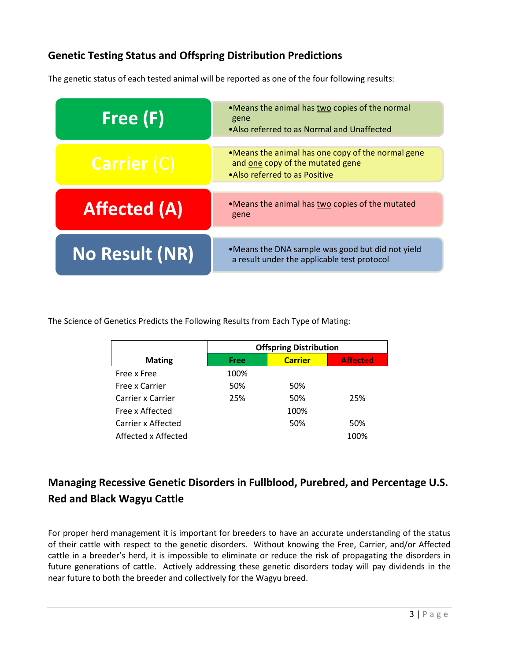### **Genetic Testing Status and Offspring Distribution Predictions**

The genetic status of each tested animal will be reported as one of the four following results:

| Free (F)            | •Means the animal has two copies of the normal<br>gene<br>• Also referred to as Normal and Unaffected                   |  |  |  |
|---------------------|-------------------------------------------------------------------------------------------------------------------------|--|--|--|
| <b>Carrier (C)</b>  | •Means the animal has one copy of the normal gene<br>and one copy of the mutated gene<br>• Also referred to as Positive |  |  |  |
| <b>Affected (A)</b> | •Means the animal has two copies of the mutated<br>gene                                                                 |  |  |  |
| No Result (NR)      | •Means the DNA sample was good but did not yield<br>a result under the applicable test protocol                         |  |  |  |

The Science of Genetics Predicts the Following Results from Each Type of Mating:

|                     | <b>Offspring Distribution</b> |                |                 |  |
|---------------------|-------------------------------|----------------|-----------------|--|
| <b>Mating</b>       | Free                          | <b>Carrier</b> | <b>Affected</b> |  |
| Free x Free         | 100%                          |                |                 |  |
| Free x Carrier      | 50%                           | 50%            |                 |  |
| Carrier x Carrier   | 25%                           | 50%            | 25%             |  |
| Free x Affected     |                               | 100%           |                 |  |
| Carrier x Affected  |                               | 50%            | 50%             |  |
| Affected x Affected |                               |                | 100%            |  |

## **Managing Recessive Genetic Disorders in Fullblood, Purebred, and Percentage U.S. Red and Black Wagyu Cattle**

For proper herd management it is important for breeders to have an accurate understanding of the status of their cattle with respect to the genetic disorders. Without knowing the Free, Carrier, and/or Affected cattle in a breeder's herd, it is impossible to eliminate or reduce the risk of propagating the disorders in future generations of cattle. Actively addressing these genetic disorders today will pay dividends in the near future to both the breeder and collectively for the Wagyu breed.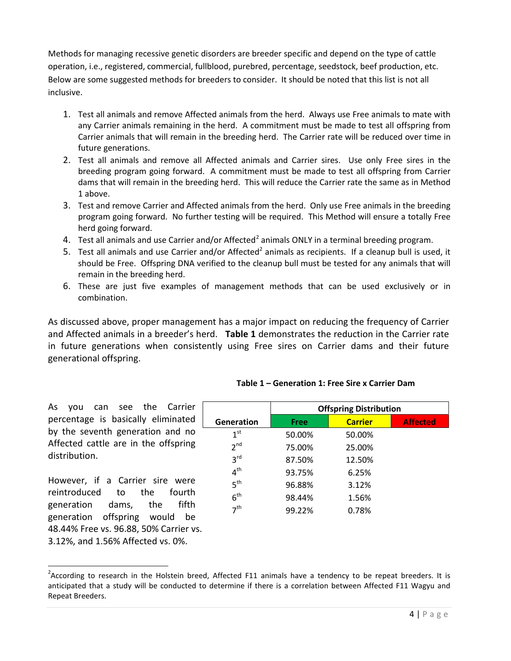Methods for managing recessive genetic disorders are breeder specific and depend on the type of cattle operation, i.e., registered, commercial, fullblood, purebred, percentage, seedstock, beef production, etc. Below are some suggested methods for breeders to consider. It should be noted that this list is not all inclusive.

- 1. Test all animals and remove Affected animals from the herd. Always use Free animals to mate with any Carrier animals remaining in the herd. A commitment must be made to test all offspring from Carrier animals that will remain in the breeding herd. The Carrier rate will be reduced over time in future generations.
- 2. Test all animals and remove all Affected animals and Carrier sires. Use only Free sires in the breeding program going forward. A commitment must be made to test all offspring from Carrier dams that will remain in the breeding herd. This will reduce the Carrier rate the same as in Method 1 above.
- 3. Test and remove Carrier and Affected animals from the herd. Only use Free animals in the breeding program going forward. No further testing will be required. This Method will ensure a totally Free herd going forward.
- 4. Test all animals and use Carrier and/or Affected<sup>[2](#page-3-0)</sup> animals ONLY in a terminal breeding program.
- 5. Test all animals and use Carrier and/or Affected<sup>2</sup> animals as recipients. If a cleanup bull is used, it should be Free. Offspring DNA verified to the cleanup bull must be tested for any animals that will remain in the breeding herd.
- 6. These are just five examples of management methods that can be used exclusively or in combination.

As discussed above, proper management has a major impact on reducing the frequency of Carrier and Affected animals in a breeder's herd. **Table 1** demonstrates the reduction in the Carrier rate in future generations when consistently using Free sires on Carrier dams and their future generational offspring.

| can see the Carrier<br>As<br>vou                                                                                                                        |                 | <b>Offspring Distribution</b> |                |                 |
|---------------------------------------------------------------------------------------------------------------------------------------------------------|-----------------|-------------------------------|----------------|-----------------|
| percentage is basically eliminated                                                                                                                      | Generation      | Free                          | <b>Carrier</b> | <b>Affected</b> |
| by the seventh generation and no<br>Affected cattle are in the offspring<br>distribution.                                                               | 1 <sup>st</sup> | 50.00%                        | 50.00%         |                 |
|                                                                                                                                                         | 2 <sup>nd</sup> | 75.00%                        | 25.00%         |                 |
|                                                                                                                                                         | 3 <sup>rd</sup> | 87.50%                        | 12.50%         |                 |
| However, if a Carrier sire were<br>reintroduced<br>the<br>fourth<br>to<br>fifth<br>generation<br>the<br>dams,<br>offspring<br>generation<br>would<br>be | $4^{\text{th}}$ | 93.75%                        | 6.25%          |                 |
|                                                                                                                                                         | 5 <sup>th</sup> | 96.88%                        | 3.12%          |                 |
|                                                                                                                                                         | 6 <sup>th</sup> | 98.44%                        | 1.56%          |                 |
|                                                                                                                                                         | 7 <sup>th</sup> | 99.22%                        | 0.78%          |                 |

**Table 1 – Generation 1: Free Sire x Carrier Dam**

However, if a Carrier sire were reintroduced to the fourth generation dams, the fifth generation offspring would be 48.44% Free vs. 96.88, 50% Carrier vs. 3.12%, and 1.56% Affected vs. 0%.

<span id="page-3-0"></span><sup>&</sup>lt;u>2</u><br><sup>2</sup> According to research in the Holstein breed, Affected F11 animals have a tendency to be repeat breeders. It is anticipated that a study will be conducted to determine if there is a correlation between Affected F11 Wagyu and Repeat Breeders.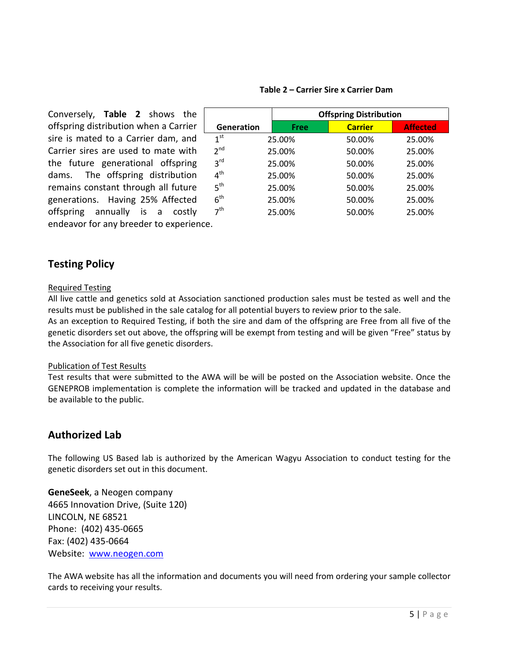| Conversely, Table 2 shows the           |                 | <b>Offspring Distribution</b> |                |                 |
|-----------------------------------------|-----------------|-------------------------------|----------------|-----------------|
| offspring distribution when a Carrier   | Generation      | Free                          | <b>Carrier</b> | <b>Affected</b> |
| sire is mated to a Carrier dam, and     | 1 <sup>st</sup> | 25.00%                        | 50.00%         | 25.00%          |
| Carrier sires are used to mate with     | 2 <sup>nd</sup> | 25.00%                        | 50.00%         | 25.00%          |
| the future generational offspring       | 3 <sup>rd</sup> | 25.00%                        | 50.00%         | 25.00%          |
| dams. The offspring distribution        | 4 <sup>th</sup> | 25.00%                        | 50.00%         | 25.00%          |
| remains constant through all future     | 5 <sup>th</sup> | 25.00%                        | 50.00%         | 25.00%          |
| generations. Having 25% Affected        | 6 <sup>th</sup> | 25.00%                        | 50.00%         | 25.00%          |
| offspring annually is a<br>costly       | 7 <sup>th</sup> | 25.00%                        | 50.00%         | 25.00%          |
| endeavor for any breeder to experience. |                 |                               |                |                 |

### **Table 2 – Carrier Sire x Carrier Dam**

### **Testing Policy**

### Required Testing

All live cattle and genetics sold at Association sanctioned production sales must be tested as well and the results must be published in the sale catalog for all potential buyers to review prior to the sale.

As an exception to Required Testing, if both the sire and dam of the offspring are Free from all five of the genetic disorders set out above, the offspring will be exempt from testing and will be given "Free" status by the Association for all five genetic disorders.

### Publication of Test Results

Test results that were submitted to the AWA will be will be posted on the Association website. Once the GENEPROB implementation is complete the information will be tracked and updated in the database and be available to the public.

### **Authorized Lab**

The following US Based lab is authorized by the American Wagyu Association to conduct testing for the genetic disorders set out in this document.

**GeneSeek**, a Neogen company 4665 Innovation Drive, (Suite 120) LINCOLN, NE 68521 Phone: (402) 435-0665 Fax: (402) 435-0664 Website: [www.neogen.com](http://www.neogen.com/)

The AWA website has all the information and documents you will need from ordering your sample collector cards to receiving your results.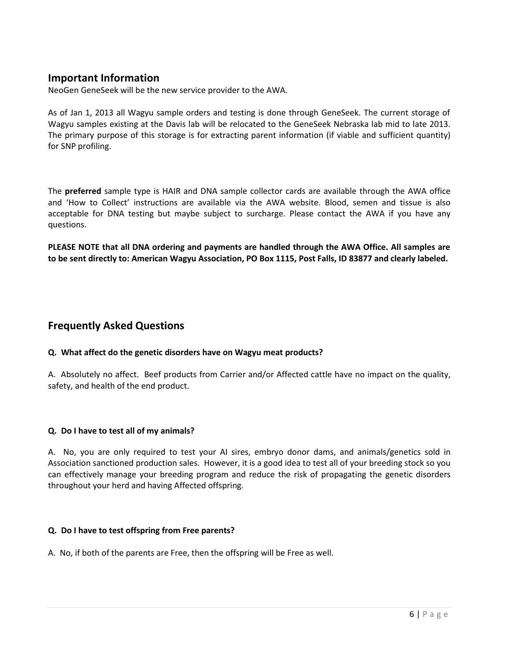### **Important Information**

NeoGen GeneSeek will be the new service provider to the AWA.

As of Jan 1, 2013 all Wagyu sample orders and testing is done through GeneSeek. The current storage of Wagyu samples existing at the Davis lab will be relocated to the GeneSeek Nebraska lab mid to late 2013. The primary purpose of this storage is for extracting parent information (if viable and sufficient quantity) for SNP profiling.

The **preferred** sample type is HAIR and DNA sample collector cards are available through the AWA office and 'How to Collect' instructions are available via the AWA website. Blood, semen and tissue is also acceptable for DNA testing but maybe subject to surcharge. Please contact the AWA if you have any questions.

**PLEASE NOTE that all DNA ordering and payments are handled through the AWA Office. All samples are to be sent directly to: American Wagyu Association, PO Box 1115, Post Falls, ID 83877 and clearly labeled.** 

### **Frequently Asked Questions**

### **Q. What affect do the genetic disorders have on Wagyu meat products?**

A. Absolutely no affect. Beef products from Carrier and/or Affected cattle have no impact on the quality, safety, and health of the end product.

### **Q. Do I have to test all of my animals?**

A. No, you are only required to test your AI sires, embryo donor dams, and animals/genetics sold in Association sanctioned production sales. However, it is a good idea to test all of your breeding stock so you can effectively manage your breeding program and reduce the risk of propagating the genetic disorders throughout your herd and having Affected offspring.

### **Q. Do I have to test offspring from Free parents?**

A. No, if both of the parents are Free, then the offspring will be Free as well.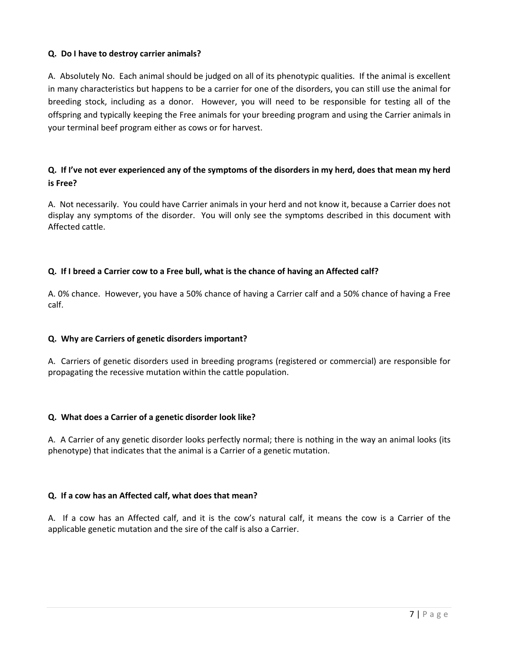### **Q. Do I have to destroy carrier animals?**

A. Absolutely No. Each animal should be judged on all of its phenotypic qualities. If the animal is excellent in many characteristics but happens to be a carrier for one of the disorders, you can still use the animal for breeding stock, including as a donor. However, you will need to be responsible for testing all of the offspring and typically keeping the Free animals for your breeding program and using the Carrier animals in your terminal beef program either as cows or for harvest.

### **Q. If I've not ever experienced any of the symptoms of the disorders in my herd, does that mean my herd is Free?**

A. Not necessarily. You could have Carrier animals in your herd and not know it, because a Carrier does not display any symptoms of the disorder. You will only see the symptoms described in this document with Affected cattle.

### **Q. If I breed a Carrier cow to a Free bull, what is the chance of having an Affected calf?**

A. 0% chance. However, you have a 50% chance of having a Carrier calf and a 50% chance of having a Free calf.

### **Q. Why are Carriers of genetic disorders important?**

A. Carriers of genetic disorders used in breeding programs (registered or commercial) are responsible for propagating the recessive mutation within the cattle population.

### **Q. What does a Carrier of a genetic disorder look like?**

A. A Carrier of any genetic disorder looks perfectly normal; there is nothing in the way an animal looks (its phenotype) that indicates that the animal is a Carrier of a genetic mutation.

### **Q. If a cow has an Affected calf, what does that mean?**

A. If a cow has an Affected calf, and it is the cow's natural calf, it means the cow is a Carrier of the applicable genetic mutation and the sire of the calf is also a Carrier.